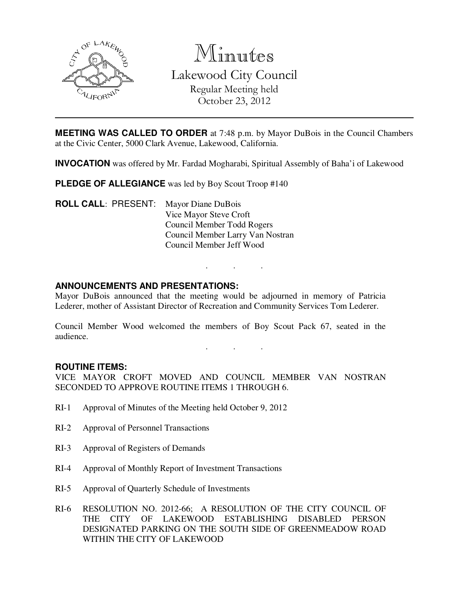

Minutes Lakewood City Council Regular Meeting held October 23, 2012

**MEETING WAS CALLED TO ORDER** at 7:48 p.m. by Mayor DuBois in the Council Chambers at the Civic Center, 5000 Clark Avenue, Lakewood, California.

**INVOCATION** was offered by Mr. Fardad Mogharabi, Spiritual Assembly of Baha'i of Lakewood

**PLEDGE OF ALLEGIANCE** was led by Boy Scout Troop #140

**ROLL CALL**: PRESENT: Mayor Diane DuBois Vice Mayor Steve Croft Council Member Todd Rogers Council Member Larry Van Nostran Council Member Jeff Wood

## **ANNOUNCEMENTS AND PRESENTATIONS:**

Mayor DuBois announced that the meeting would be adjourned in memory of Patricia Lederer, mother of Assistant Director of Recreation and Community Services Tom Lederer.

. . .

. . .

Council Member Wood welcomed the members of Boy Scout Pack 67, seated in the audience.

#### **ROUTINE ITEMS:**

VICE MAYOR CROFT MOVED AND COUNCIL MEMBER VAN NOSTRAN SECONDED TO APPROVE ROUTINE ITEMS 1 THROUGH 6.

- RI-1 Approval of Minutes of the Meeting held October 9, 2012
- RI-2 Approval of Personnel Transactions
- RI-3 Approval of Registers of Demands
- RI-4 Approval of Monthly Report of Investment Transactions
- RI-5 Approval of Quarterly Schedule of Investments
- RI-6 RESOLUTION NO. 2012-66; A RESOLUTION OF THE CITY COUNCIL OF THE CITY OF LAKEWOOD ESTABLISHING DISABLED PERSON DESIGNATED PARKING ON THE SOUTH SIDE OF GREENMEADOW ROAD WITHIN THE CITY OF LAKEWOOD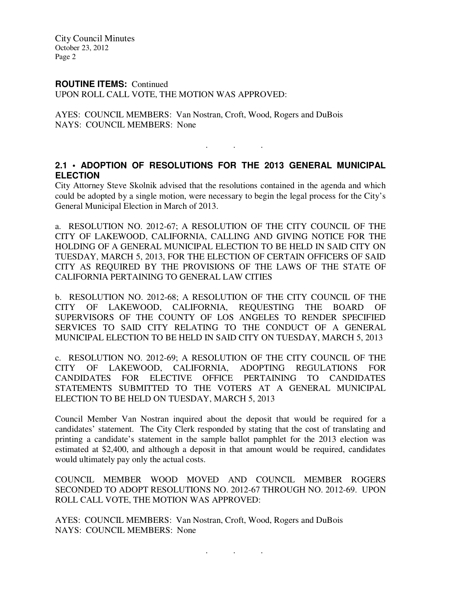City Council Minutes October 23, 2012 Page 2

#### **ROUTINE ITEMS:** Continued

UPON ROLL CALL VOTE, THE MOTION WAS APPROVED:

AYES: COUNCIL MEMBERS: Van Nostran, Croft, Wood, Rogers and DuBois NAYS: COUNCIL MEMBERS: None

# **2.1 • ADOPTION OF RESOLUTIONS FOR THE 2013 GENERAL MUNICIPAL ELECTION**

. . .

City Attorney Steve Skolnik advised that the resolutions contained in the agenda and which could be adopted by a single motion, were necessary to begin the legal process for the City's General Municipal Election in March of 2013.

a. RESOLUTION NO. 2012-67; A RESOLUTION OF THE CITY COUNCIL OF THE CITY OF LAKEWOOD, CALIFORNIA, CALLING AND GIVING NOTICE FOR THE HOLDING OF A GENERAL MUNICIPAL ELECTION TO BE HELD IN SAID CITY ON TUESDAY, MARCH 5, 2013, FOR THE ELECTION OF CERTAIN OFFICERS OF SAID CITY AS REQUIRED BY THE PROVISIONS OF THE LAWS OF THE STATE OF CALIFORNIA PERTAINING TO GENERAL LAW CITIES

b. RESOLUTION NO. 2012-68; A RESOLUTION OF THE CITY COUNCIL OF THE CITY OF LAKEWOOD, CALIFORNIA, REQUESTING THE BOARD OF SUPERVISORS OF THE COUNTY OF LOS ANGELES TO RENDER SPECIFIED SERVICES TO SAID CITY RELATING TO THE CONDUCT OF A GENERAL MUNICIPAL ELECTION TO BE HELD IN SAID CITY ON TUESDAY, MARCH 5, 2013

c. RESOLUTION NO. 2012-69; A RESOLUTION OF THE CITY COUNCIL OF THE CITY OF LAKEWOOD, CALIFORNIA, ADOPTING REGULATIONS FOR CANDIDATES FOR ELECTIVE OFFICE PERTAINING TO CANDIDATES STATEMENTS SUBMITTED TO THE VOTERS AT A GENERAL MUNICIPAL ELECTION TO BE HELD ON TUESDAY, MARCH 5, 2013

Council Member Van Nostran inquired about the deposit that would be required for a candidates' statement. The City Clerk responded by stating that the cost of translating and printing a candidate's statement in the sample ballot pamphlet for the 2013 election was estimated at \$2,400, and although a deposit in that amount would be required, candidates would ultimately pay only the actual costs.

COUNCIL MEMBER WOOD MOVED AND COUNCIL MEMBER ROGERS SECONDED TO ADOPT RESOLUTIONS NO. 2012-67 THROUGH NO. 2012-69. UPON ROLL CALL VOTE, THE MOTION WAS APPROVED:

AYES: COUNCIL MEMBERS: Van Nostran, Croft, Wood, Rogers and DuBois NAYS: COUNCIL MEMBERS: None

. . .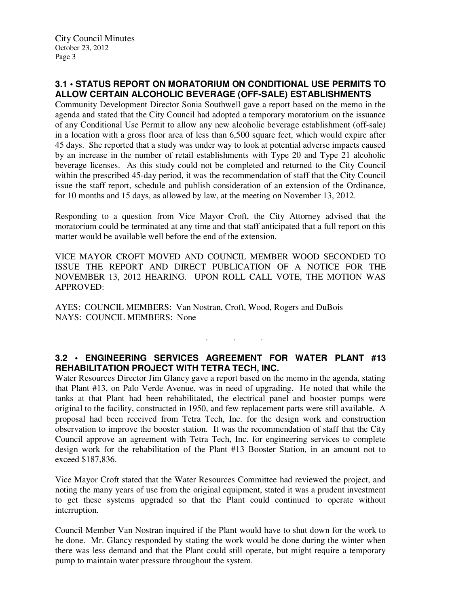# **3.1 • STATUS REPORT ON MORATORIUM ON CONDITIONAL USE PERMITS TO ALLOW CERTAIN ALCOHOLIC BEVERAGE (OFF-SALE) ESTABLISHMENTS**

Community Development Director Sonia Southwell gave a report based on the memo in the agenda and stated that the City Council had adopted a temporary moratorium on the issuance of any Conditional Use Permit to allow any new alcoholic beverage establishment (off-sale) in a location with a gross floor area of less than 6,500 square feet, which would expire after 45 days. She reported that a study was under way to look at potential adverse impacts caused by an increase in the number of retail establishments with Type 20 and Type 21 alcoholic beverage licenses. As this study could not be completed and returned to the City Council within the prescribed 45-day period, it was the recommendation of staff that the City Council issue the staff report, schedule and publish consideration of an extension of the Ordinance, for 10 months and 15 days, as allowed by law, at the meeting on November 13, 2012.

Responding to a question from Vice Mayor Croft, the City Attorney advised that the moratorium could be terminated at any time and that staff anticipated that a full report on this matter would be available well before the end of the extension.

VICE MAYOR CROFT MOVED AND COUNCIL MEMBER WOOD SECONDED TO ISSUE THE REPORT AND DIRECT PUBLICATION OF A NOTICE FOR THE NOVEMBER 13, 2012 HEARING. UPON ROLL CALL VOTE, THE MOTION WAS APPROVED:

AYES: COUNCIL MEMBERS: Van Nostran, Croft, Wood, Rogers and DuBois NAYS: COUNCIL MEMBERS: None

# **3.2 • ENGINEERING SERVICES AGREEMENT FOR WATER PLANT #13 REHABILITATION PROJECT WITH TETRA TECH, INC.**

. . .

Water Resources Director Jim Glancy gave a report based on the memo in the agenda, stating that Plant #13, on Palo Verde Avenue, was in need of upgrading. He noted that while the tanks at that Plant had been rehabilitated, the electrical panel and booster pumps were original to the facility, constructed in 1950, and few replacement parts were still available. A proposal had been received from Tetra Tech, Inc. for the design work and construction observation to improve the booster station. It was the recommendation of staff that the City Council approve an agreement with Tetra Tech, Inc. for engineering services to complete design work for the rehabilitation of the Plant #13 Booster Station, in an amount not to exceed \$187,836.

Vice Mayor Croft stated that the Water Resources Committee had reviewed the project, and noting the many years of use from the original equipment, stated it was a prudent investment to get these systems upgraded so that the Plant could continued to operate without interruption.

Council Member Van Nostran inquired if the Plant would have to shut down for the work to be done. Mr. Glancy responded by stating the work would be done during the winter when there was less demand and that the Plant could still operate, but might require a temporary pump to maintain water pressure throughout the system.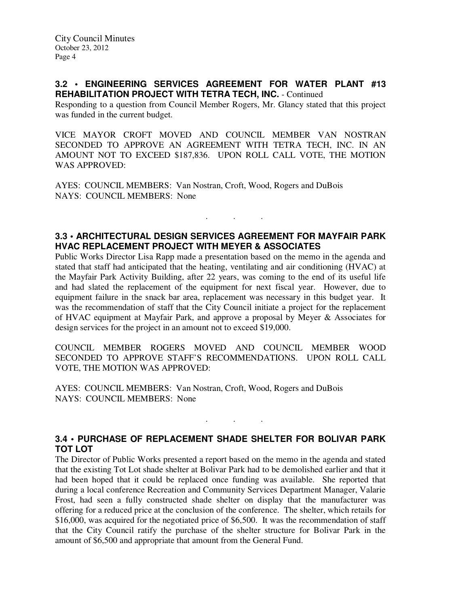#### **3.2 • ENGINEERING SERVICES AGREEMENT FOR WATER PLANT #13 REHABILITATION PROJECT WITH TETRA TECH, INC.** - Continued

Responding to a question from Council Member Rogers, Mr. Glancy stated that this project was funded in the current budget.

VICE MAYOR CROFT MOVED AND COUNCIL MEMBER VAN NOSTRAN SECONDED TO APPROVE AN AGREEMENT WITH TETRA TECH, INC. IN AN AMOUNT NOT TO EXCEED \$187,836. UPON ROLL CALL VOTE, THE MOTION WAS APPROVED:

AYES: COUNCIL MEMBERS: Van Nostran, Croft, Wood, Rogers and DuBois NAYS: COUNCIL MEMBERS: None

## **3.3 • ARCHITECTURAL DESIGN SERVICES AGREEMENT FOR MAYFAIR PARK HVAC REPLACEMENT PROJECT WITH MEYER & ASSOCIATES**

. . .

Public Works Director Lisa Rapp made a presentation based on the memo in the agenda and stated that staff had anticipated that the heating, ventilating and air conditioning (HVAC) at the Mayfair Park Activity Building, after 22 years, was coming to the end of its useful life and had slated the replacement of the equipment for next fiscal year. However, due to equipment failure in the snack bar area, replacement was necessary in this budget year. It was the recommendation of staff that the City Council initiate a project for the replacement of HVAC equipment at Mayfair Park, and approve a proposal by Meyer & Associates for design services for the project in an amount not to exceed \$19,000.

COUNCIL MEMBER ROGERS MOVED AND COUNCIL MEMBER WOOD SECONDED TO APPROVE STAFF'S RECOMMENDATIONS. UPON ROLL CALL VOTE, THE MOTION WAS APPROVED:

AYES: COUNCIL MEMBERS: Van Nostran, Croft, Wood, Rogers and DuBois NAYS: COUNCIL MEMBERS: None

## **3.4 • PURCHASE OF REPLACEMENT SHADE SHELTER FOR BOLIVAR PARK TOT LOT**

. . .

The Director of Public Works presented a report based on the memo in the agenda and stated that the existing Tot Lot shade shelter at Bolivar Park had to be demolished earlier and that it had been hoped that it could be replaced once funding was available. She reported that during a local conference Recreation and Community Services Department Manager, Valarie Frost, had seen a fully constructed shade shelter on display that the manufacturer was offering for a reduced price at the conclusion of the conference. The shelter, which retails for \$16,000, was acquired for the negotiated price of \$6,500. It was the recommendation of staff that the City Council ratify the purchase of the shelter structure for Bolivar Park in the amount of \$6,500 and appropriate that amount from the General Fund.